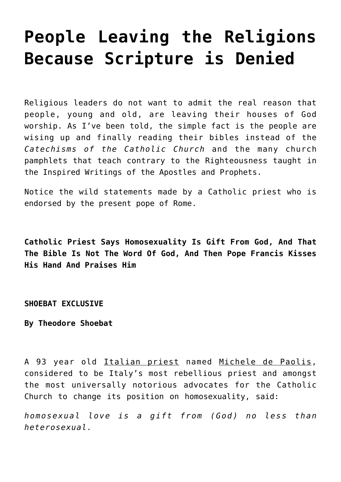# **[People Leaving the Religions](https://yahwehsbranch.com/people-leaving-the-religions-because-scripture-is-denied/) [Because Scripture is Denied](https://yahwehsbranch.com/people-leaving-the-religions-because-scripture-is-denied/)**

Religious leaders do not want to admit the real reason that people, young and old, are leaving their houses of God worship. As I've been told, the simple fact is the people are wising up and finally reading their bibles instead of the *Catechisms of the Catholic Church* and the many church pamphlets that teach contrary to the Righteousness taught in the Inspired Writings of the Apostles and Prophets.

Notice the wild statements made by a Catholic priest who is endorsed by the present pope of Rome.

**Catholic Priest Says Homosexuality Is Gift From God, And That The Bible Is Not The Word Of God, And Then Pope Francis Kisses His Hand And Praises Him**

**SHOEBAT EXCLUSIVE**

**By Theodore Shoebat**

A 93 year old Italian priest named Michele de Paolis, considered to be Italy's most rebellious priest and amongst the most universally notorious advocates for the Catholic Church to change its position on homosexuality, said:

*homosexual love is a gift from (God) no less than heterosexual.*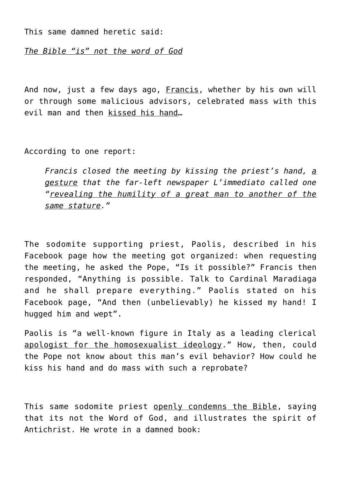This same damned heretic said:

*The Bible "is" not the word of God*

And now, just a few days ago, Francis, whether by his own will or through some malicious advisors, celebrated mass with this evil man and then kissed his hand…

According to one report:

*Francis closed the meeting by kissing the priest's hand, a gesture that the far-left newspaper L'immediato called one "revealing the humility of a great man to another of the same stature."*

The sodomite supporting priest, Paolis, described in his Facebook page how the meeting got organized: when requesting the meeting, he asked the Pope, "Is it possible?" Francis then responded, "Anything is possible. Talk to Cardinal Maradiaga and he shall prepare everything." Paolis stated on his Facebook page, "And then (unbelievably) he kissed my hand! I hugged him and wept".

Paolis is "a well-known figure in Italy as a leading clerical apologist for the homosexualist ideology." How, then, could the Pope not know about this man's evil behavior? How could he kiss his hand and do mass with such a reprobate?

This same sodomite priest openly condemns the Bible, saying that its not the Word of God, and illustrates the spirit of Antichrist. He wrote in a damned book: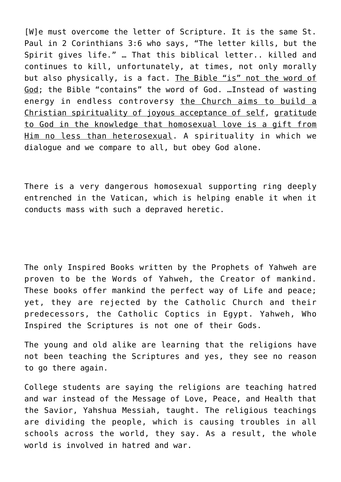[W]e must overcome the letter of Scripture. It is the same St. Paul in 2 Corinthians 3:6 who says, "The letter kills, but the Spirit gives life." … That this biblical letter.. killed and continues to kill, unfortunately, at times, not only morally but also physically, is a fact. The Bible "is" not the word of God; the Bible "contains" the word of God. …Instead of wasting energy in endless controversy the Church aims to build a Christian spirituality of joyous acceptance of self, gratitude to God in the knowledge that homosexual love is a gift from Him no less than heterosexual. A spirituality in which we dialogue and we compare to all, but obey God alone.

There is a very dangerous homosexual supporting ring deeply entrenched in the Vatican, which is helping enable it when it conducts mass with such a depraved heretic.

The only Inspired Books written by the Prophets of Yahweh are proven to be the Words of Yahweh, the Creator of mankind. These books offer mankind the perfect way of Life and peace; yet, they are rejected by the Catholic Church and their predecessors, the Catholic Coptics in Egypt. Yahweh, Who Inspired the Scriptures is not one of their Gods.

The young and old alike are learning that the religions have not been teaching the Scriptures and yes, they see no reason to go there again.

College students are saying the religions are teaching hatred and war instead of the Message of Love, Peace, and Health that the Savior, Yahshua Messiah, taught. The religious teachings are dividing the people, which is causing troubles in all schools across the world, they say. As a result, the whole world is involved in hatred and war.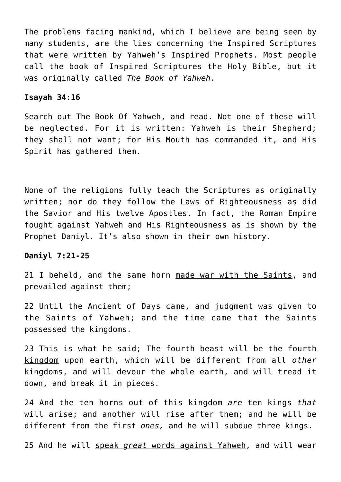The problems facing mankind, which I believe are being seen by many students, are the lies concerning the Inspired Scriptures that were written by Yahweh's Inspired Prophets. Most people call the book of Inspired Scriptures the Holy Bible, but it was originally called *The Book of Yahweh*.

### **Isayah 34:16**

Search out The Book Of Yahweh, and read. Not one of these will be neglected. For it is written: Yahweh is their Shepherd; they shall not want; for His Mouth has commanded it, and His Spirit has gathered them.

None of the religions fully teach the Scriptures as originally written; nor do they follow the Laws of Righteousness as did the Savior and His twelve Apostles. In fact, the Roman Empire fought against Yahweh and His Righteousness as is shown by the Prophet Daniyl. It's also shown in their own history.

# **Daniyl 7:21-25**

21 I beheld, and the same horn made war with the Saints, and prevailed against them;

22 Until the Ancient of Days came, and judgment was given to the Saints of Yahweh; and the time came that the Saints possessed the kingdoms.

23 This is what he said; The fourth beast will be the fourth kingdom upon earth, which will be different from all *other* kingdoms, and will devour the whole earth, and will tread it down, and break it in pieces.

24 And the ten horns out of this kingdom *are* ten kings *that* will arise; and another will rise after them; and he will be different from the first *ones,* and he will subdue three kings.

25 And he will speak *great* words against Yahweh, and will wear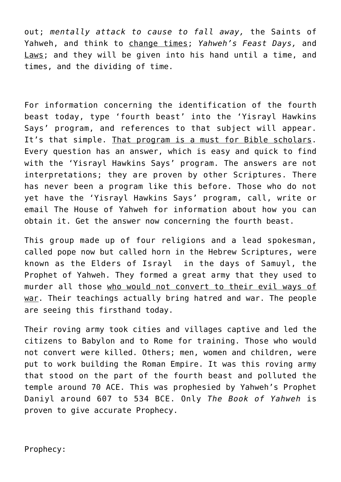out; *mentally attack to cause to fall away,* the Saints of Yahweh, and think to change times; *Yahweh's Feast Days,* and Laws; and they will be given into his hand until a time, and times, and the dividing of time.

For information concerning the identification of the fourth beast today, type 'fourth beast' into the 'Yisrayl Hawkins Says' program, and references to that subject will appear. It's that simple. That program is a must for Bible scholars. Every question has an answer, which is easy and quick to find with the 'Yisrayl Hawkins Says' program. The answers are not interpretations; they are proven by other Scriptures. There has never been a program like this before. Those who do not yet have the 'Yisrayl Hawkins Says' program, call, write or email The House of Yahweh for information about how you can obtain it. Get the answer now concerning the fourth beast.

This group made up of four religions and a lead spokesman, called pope now but called horn in the Hebrew Scriptures, were known as the Elders of Israyl in the days of Samuyl, the Prophet of Yahweh. They formed a great army that they used to murder all those who would not convert to their evil ways of war. Their teachings actually bring hatred and war. The people are seeing this firsthand today.

Their roving army took cities and villages captive and led the citizens to Babylon and to Rome for training. Those who would not convert were killed. Others; men, women and children, were put to work building the Roman Empire. It was this roving army that stood on the part of the fourth beast and polluted the temple around 70 ACE. This was prophesied by Yahweh's Prophet Daniyl around 607 to 534 BCE. Only *The Book of Yahweh* is proven to give accurate Prophecy.

Prophecy: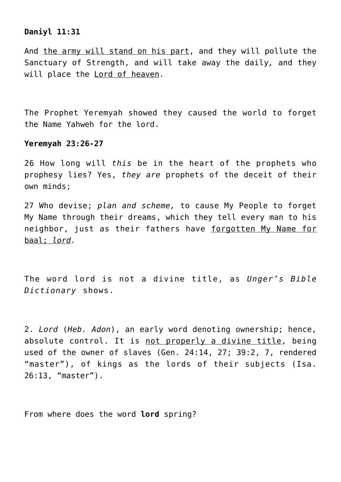# **Daniyl 11:31**

And the army will stand on his part, and they will pollute the Sanctuary of Strength, and will take away the daily*,* and they will place the Lord of heaven.

The Prophet Yeremyah showed they caused the world to forget the Name Yahweh for the lord.

# **Yeremyah 23:26-27**

26 How long will *this* be in the heart of the prophets who prophesy lies? Yes, *they are* prophets of the deceit of their own minds;

27 Who devise; *plan and scheme,* to cause My People to forget My Name through their dreams, which they tell every man to his neighbor, just as their fathers have forgotten My Name for baal; *lord.*

The word lord is not a divine title, as *Unger's Bible Dictionary* shows.

2. *Lord* (*Heb. Adon*), an early word denoting ownership; hence, absolute control. It is not properly a divine title, being used of the owner of slaves (Gen. 24:14, 27; 39:2, 7, rendered "master"), of kings as the lords of their subjects (Isa. 26:13, "master").

From where does the word **lord** spring?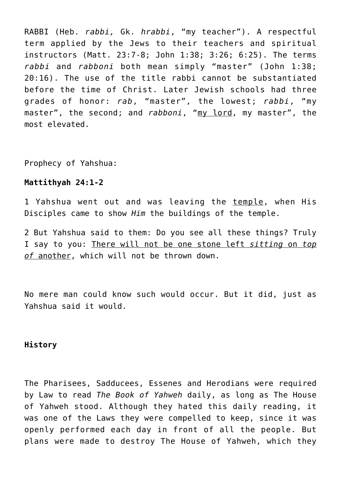RABBI (Heb. *rabbi,* Gk. *hrabbi*, "my teacher"). A respectful term applied by the Jews to their teachers and spiritual instructors (Matt. 23:7-8; John 1:38; 3:26; 6:25). The terms *rabbi* and *rabboni* both mean simply "master" (John 1:38; 20:16). The use of the title rabbi cannot be substantiated before the time of Christ. Later Jewish schools had three grades of honor: *rab*, "master", the lowest; *rabbi*, "my master", the second; and *rabboni*, "my lord, my master", the most elevated.

Prophecy of Yahshua:

# **Mattithyah 24:1-2**

1 Yahshua went out and was leaving the temple, when His Disciples came to show *Him* the buildings of the temple.

2 But Yahshua said to them: Do you see all these things? Truly I say to you: There will not be one stone left *sitting* on *top of* another, which will not be thrown down.

No mere man could know such would occur. But it did, just as Yahshua said it would.

# **History**

The Pharisees, Sadducees, Essenes and Herodians were required by Law to read *The Book of Yahweh* daily, as long as The House of Yahweh stood. Although they hated this daily reading, it was one of the Laws they were compelled to keep, since it was openly performed each day in front of all the people. But plans were made to destroy The House of Yahweh, which they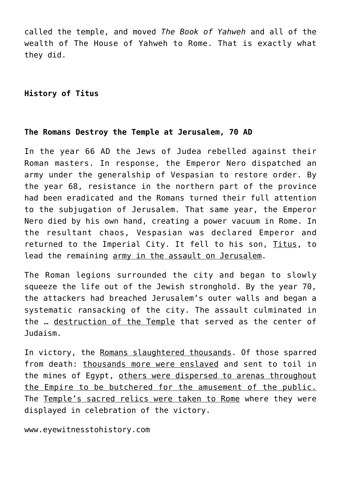called the temple, and moved *The Book of Yahweh* and all of the wealth of The House of Yahweh to Rome. That is exactly what they did.

# **History of Titus**

# **The Romans Destroy the Temple at Jerusalem, 70 AD**

In the year 66 AD the Jews of Judea rebelled against their Roman masters. In response, the Emperor Nero dispatched an army under the generalship of Vespasian to restore order. By the year 68, resistance in the northern part of the province had been eradicated and the Romans turned their full attention to the subjugation of Jerusalem. That same year, the Emperor Nero died by his own hand, creating a power vacuum in Rome. In the resultant chaos, Vespasian was declared Emperor and returned to the Imperial City. It fell to his son, Titus, to lead the remaining army in the assault on Jerusalem.

The Roman legions surrounded the city and began to slowly squeeze the life out of the Jewish stronghold. By the year 70, the attackers had breached Jerusalem's outer walls and began a systematic ransacking of the city. The assault culminated in the ... destruction of the Temple that served as the center of Judaism.

In victory, the Romans slaughtered thousands. Of those sparred from death: thousands more were enslaved and sent to toil in the mines of Egypt, others were dispersed to arenas throughout the Empire to be butchered for the amusement of the public. The Temple's sacred relics were taken to Rome where they were displayed in celebration of the victory.

www.eyewitnesstohistory.com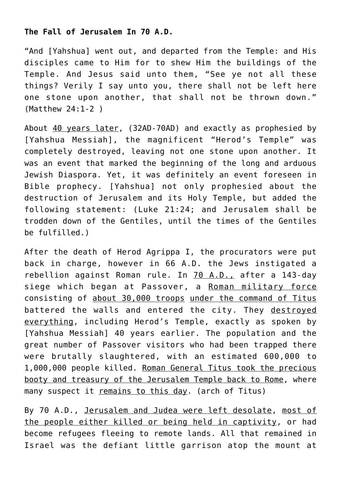# **The Fall of Jerusalem In 70 A.D.**

"And [Yahshua] went out, and departed from the Temple: and His disciples came to Him for to shew Him the buildings of the Temple. And Jesus said unto them, "See ye not all these things? Verily I say unto you, there shall not be left here one stone upon another, that shall not be thrown down." (Matthew 24:1-2 )

About 40 years later, (32AD-70AD) and exactly as prophesied by [Yahshua Messiah], the magnificent "Herod's Temple" was completely destroyed, leaving not one stone upon another. It was an event that marked the beginning of the long and arduous Jewish Diaspora. Yet, it was definitely an event foreseen in Bible prophecy. [Yahshua] not only prophesied about the destruction of Jerusalem and its Holy Temple, but added the following statement: (Luke 21:24; and Jerusalem shall be trodden down of the Gentiles, until the times of the Gentiles be fulfilled.)

After the death of Herod Agrippa I, the procurators were put back in charge, however in 66 A.D. the Jews instigated a rebellion against Roman rule. In 70 A.D., after a 143-day siege which began at Passover, a Roman military force consisting of about 30,000 troops under the command of Titus battered the walls and entered the city. They destroyed everything, including Herod's Temple, exactly as spoken by [Yahshua Messiah] 40 years earlier. The population and the great number of Passover visitors who had been trapped there were brutally slaughtered, with an estimated 600,000 to 1,000,000 people killed. Roman General Titus took the precious booty and treasury of the Jerusalem Temple back to Rome, where many suspect it remains to this day. (arch of Titus)

By 70 A.D., Jerusalem and Judea were left desolate, most of the people either killed or being held in captivity, or had become refugees fleeing to remote lands. All that remained in Israel was the defiant little garrison atop the mount at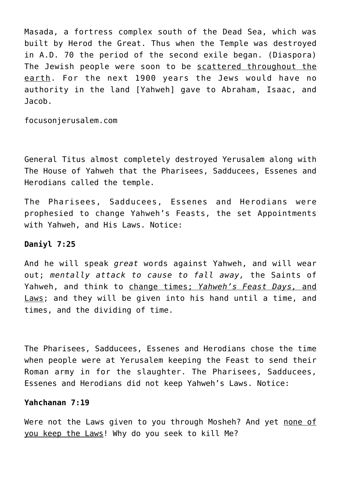Masada, a fortress complex south of the Dead Sea, which was built by Herod the Great. Thus when the Temple was destroyed in A.D. 70 the period of the second exile began. (Diaspora) The Jewish people were soon to be scattered throughout the earth. For the next 1900 years the Jews would have no authority in the land [Yahweh] gave to Abraham, Isaac, and Jacob.

focusonjerusalem.com

General Titus almost completely destroyed Yerusalem along with The House of Yahweh that the Pharisees, Sadducees, Essenes and Herodians called the temple.

The Pharisees, Sadducees, Essenes and Herodians were prophesied to change Yahweh's Feasts, the set Appointments with Yahweh, and His Laws. Notice:

# **Daniyl 7:25**

And he will speak *great* words against Yahweh, and will wear out; *mentally attack to cause to fall away,* the Saints of Yahweh, and think to change times; *Yahweh's Feast Days,* and Laws; and they will be given into his hand until a time, and times, and the dividing of time.

The Pharisees, Sadducees, Essenes and Herodians chose the time when people were at Yerusalem keeping the Feast to send their Roman army in for the slaughter. The Pharisees, Sadducees, Essenes and Herodians did not keep Yahweh's Laws. Notice:

## **Yahchanan 7:19**

Were not the Laws given to you through Mosheh? And yet none of you keep the Laws! Why do you seek to kill Me?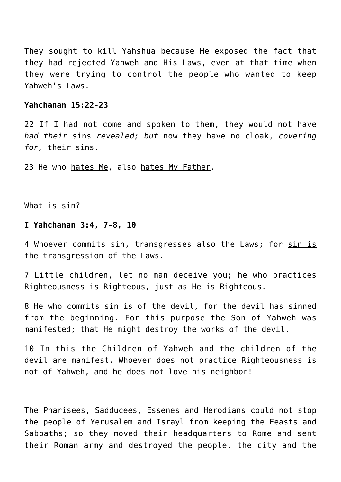They sought to kill Yahshua because He exposed the fact that they had rejected Yahweh and His Laws, even at that time when they were trying to control the people who wanted to keep Yahweh's Laws.

# **Yahchanan 15:22-23**

22 If I had not come and spoken to them, they would not have *had their* sins *revealed; but* now they have no cloak, *covering for,* their sins.

23 He who hates Me, also hates My Father.

What is sin?

# **I Yahchanan 3:4, 7-8, 10**

4 Whoever commits sin, transgresses also the Laws; for sin is the transgression of the Laws.

7 Little children, let no man deceive you; he who practices Righteousness is Righteous, just as He is Righteous.

8 He who commits sin is of the devil, for the devil has sinned from the beginning. For this purpose the Son of Yahweh was manifested; that He might destroy the works of the devil.

10 In this the Children of Yahweh and the children of the devil are manifest. Whoever does not practice Righteousness is not of Yahweh, and he does not love his neighbor!

The Pharisees, Sadducees, Essenes and Herodians could not stop the people of Yerusalem and Israyl from keeping the Feasts and Sabbaths; so they moved their headquarters to Rome and sent their Roman army and destroyed the people, the city and the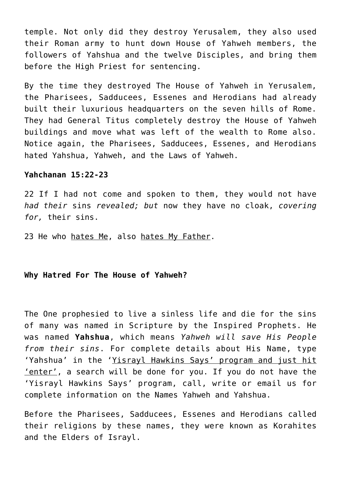temple. Not only did they destroy Yerusalem, they also used their Roman army to hunt down House of Yahweh members, the followers of Yahshua and the twelve Disciples, and bring them before the High Priest for sentencing.

By the time they destroyed The House of Yahweh in Yerusalem, the Pharisees, Sadducees, Essenes and Herodians had already built their luxurious headquarters on the seven hills of Rome. They had General Titus completely destroy the House of Yahweh buildings and move what was left of the wealth to Rome also. Notice again, the Pharisees, Sadducees, Essenes, and Herodians hated Yahshua, Yahweh, and the Laws of Yahweh.

## **Yahchanan 15:22-23**

22 If I had not come and spoken to them, they would not have *had their* sins *revealed; but* now they have no cloak, *covering for,* their sins.

23 He who hates Me, also hates My Father.

# **Why Hatred For The House of Yahweh?**

The One prophesied to live a sinless life and die for the sins of many was named in Scripture by the Inspired Prophets. He was named **Yahshua**, which means *Yahweh will save His People from their sins*. For complete details about His Name, type 'Yahshua' in the 'Yisrayl Hawkins Says' program and just hit 'enter', a search will be done for you. If you do not have the 'Yisrayl Hawkins Says' program, call, write or email us for complete information on the Names Yahweh and Yahshua.

Before the Pharisees, Sadducees, Essenes and Herodians called their religions by these names, they were known as Korahites and the Elders of Israyl.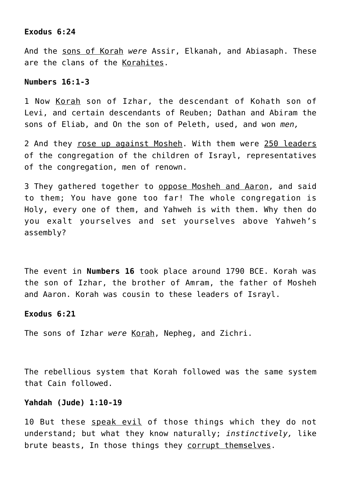## **Exodus 6:24**

And the sons of Korah *were* Assir, Elkanah, and Abiasaph. These are the clans of the Korahites.

## **Numbers 16:1-3**

1 Now Korah son of Izhar, the descendant of Kohath son of Levi, and certain descendants of Reuben; Dathan and Abiram the sons of Eliab, and On the son of Peleth, used, and won *men,*

2 And they rose up against Mosheh. With them were 250 leaders of the congregation of the children of Israyl, representatives of the congregation, men of renown.

3 They gathered together to oppose Mosheh and Aaron, and said to them; You have gone too far! The whole congregation is Holy, every one of them, and Yahweh is with them. Why then do you exalt yourselves and set yourselves above Yahweh's assembly?

The event in **Numbers 16** took place around 1790 BCE. Korah was the son of Izhar, the brother of Amram, the father of Mosheh and Aaron. Korah was cousin to these leaders of Israyl.

#### **Exodus 6:21**

The sons of Izhar *were* Korah, Nepheg, and Zichri.

The rebellious system that Korah followed was the same system that Cain followed.

#### **Yahdah (Jude) 1:10-19**

10 But these speak evil of those things which they do not understand; but what they know naturally; *instinctively,* like brute beasts, In those things they corrupt themselves.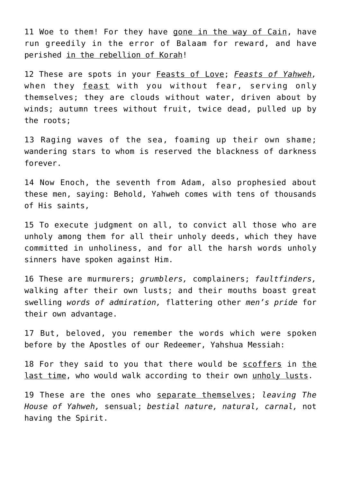11 Woe to them! For they have gone in the way of Cain, have run greedily in the error of Balaam for reward, and have perished in the rebellion of Korah!

12 These are spots in your Feasts of Love; *Feasts of Yahweh,* when they feast with you without fear, serving only themselves; they are clouds without water, driven about by winds; autumn trees without fruit, twice dead, pulled up by the roots;

13 Raging waves of the sea, foaming up their own shame; wandering stars to whom is reserved the blackness of darkness forever.

14 Now Enoch, the seventh from Adam, also prophesied about these men, saying: Behold, Yahweh comes with tens of thousands of His saints,

15 To execute judgment on all, to convict all those who are unholy among them for all their unholy deeds, which they have committed in unholiness, and for all the harsh words unholy sinners have spoken against Him.

16 These are murmurers; *grumblers,* complainers; *faultfinders,* walking after their own lusts; and their mouths boast great swelling *words of admiration,* flattering other *men's pride* for their own advantage.

17 But, beloved, you remember the words which were spoken before by the Apostles of our Redeemer, Yahshua Messiah:

18 For they said to you that there would be scoffers in the last time, who would walk according to their own unholy lusts.

19 These are the ones who separate themselves; *leaving The House of Yahweh,* sensual; *bestial nature, natural, carnal,* not having the Spirit.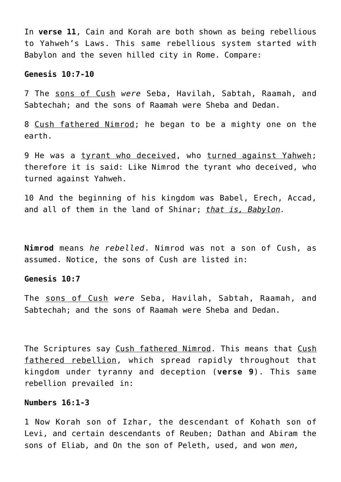In **verse 11**, Cain and Korah are both shown as being rebellious to Yahweh's Laws. This same rebellious system started with Babylon and the seven hilled city in Rome. Compare:

# **Genesis 10:7-10**

7 The sons of Cush *were* Seba, Havilah, Sabtah, Raamah, and Sabtechah; and the sons of Raamah were Sheba and Dedan.

8 Cush fathered Nimrod; he began to be a mighty one on the earth.

9 He was a tyrant who deceived, who turned against Yahweh; therefore it is said: Like Nimrod the tyrant who deceived, who turned against Yahweh.

10 And the beginning of his kingdom was Babel, Erech, Accad, and all of them in the land of Shinar; *that is, Babylon.*

**Nimrod** means *he rebelled*. Nimrod was not a son of Cush, as assumed. Notice, the sons of Cush are listed in:

#### **Genesis 10:7**

The sons of Cush *were* Seba, Havilah, Sabtah, Raamah, and Sabtechah; and the sons of Raamah were Sheba and Dedan.

The Scriptures say Cush fathered Nimrod. This means that Cush fathered rebellion, which spread rapidly throughout that kingdom under tyranny and deception (**verse 9**). This same rebellion prevailed in:

#### **Numbers 16:1-3**

1 Now Korah son of Izhar, the descendant of Kohath son of Levi, and certain descendants of Reuben; Dathan and Abiram the sons of Eliab, and On the son of Peleth, used, and won *men,*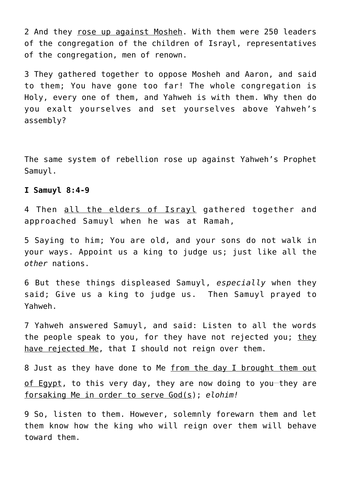2 And they rose up against Mosheh. With them were 250 leaders of the congregation of the children of Israyl, representatives of the congregation, men of renown.

3 They gathered together to oppose Mosheh and Aaron, and said to them; You have gone too far! The whole congregation is Holy, every one of them, and Yahweh is with them. Why then do you exalt yourselves and set yourselves above Yahweh's assembly?

The same system of rebellion rose up against Yahweh's Prophet Samuyl.

# **I Samuyl 8:4-9**

4 Then all the elders of Israyl gathered together and approached Samuyl when he was at Ramah,

5 Saying to him; You are old, and your sons do not walk in your ways. Appoint us a king to judge us; just like all the *other* nations.

6 But these things displeased Samuyl, *especially* when they said; Give us a king to judge us. Then Samuyl prayed to Yahweh.

7 Yahweh answered Samuyl, and said: Listen to all the words the people speak to you, for they have not rejected you; they have rejected Me, that I should not reign over them.

8 Just as they have done to Me from the day I brought them out of Egypt, to this very day, they are now doing to you-they are forsaking Me in order to serve God(s); *elohim!*

9 So, listen to them. However, solemnly forewarn them and let them know how the king who will reign over them will behave toward them.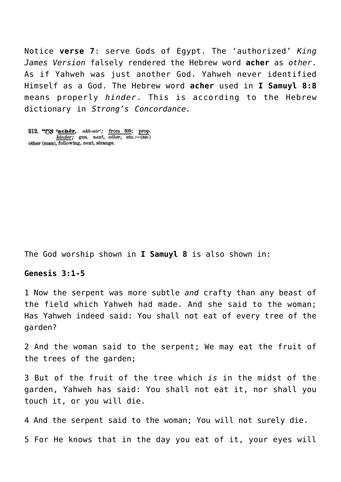Notice **verse 7**: serve Gods of Egypt. The 'authorized' *King James Version* falsely rendered the Hebrew word **acher** as *other*. As if Yahweh was just another God. Yahweh never identified Himself as a God. The Hebrew word **acher** used in **I Samuyl 8:8** means properly *hinder*. This is according to the Hebrew dictionary in *Strong's Concordance.*

312. יותר 'achêr, akh-air'; from 309; prop.<br>  $\frac{hinder}{t}$ ; gen. next, other, etc.:-(an.) other (man), following, next, strange.

The God worship shown in **I Samuyl 8** is also shown in:

# **Genesis 3:1-5**

1 Now the serpent was more subtle *and* crafty than any beast of the field which Yahweh had made. And she said to the woman; Has Yahweh indeed said: You shall not eat of every tree of the garden?

2 And the woman said to the serpent; We may eat the fruit of the trees of the garden;

3 But of the fruit of the tree which *is* in the midst of the garden, Yahweh has said: You shall not eat it, nor shall you touch it, or you will die.

4 And the serpent said to the woman; You will not surely die.

5 For He knows that in the day you eat of it, your eyes will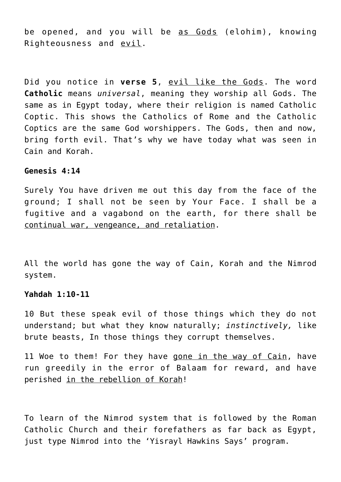be opened, and you will be as Gods (elohim), knowing Righteousness and evil.

Did you notice in **verse 5**, evil like the Gods. The word **Catholic** means *universal*, meaning they worship all Gods. The same as in Egypt today, where their religion is named Catholic Coptic. This shows the Catholics of Rome and the Catholic Coptics are the same God worshippers. The Gods, then and now, bring forth evil. That's why we have today what was seen in Cain and Korah.

# **Genesis 4:14**

Surely You have driven me out this day from the face of the ground; I shall not be seen by Your Face. I shall be a fugitive and a vagabond on the earth, for there shall be continual war, vengeance, and retaliation.

All the world has gone the way of Cain, Korah and the Nimrod system.

#### **Yahdah 1:10-11**

10 But these speak evil of those things which they do not understand; but what they know naturally; *instinctively,* like brute beasts, In those things they corrupt themselves.

11 Woe to them! For they have gone in the way of Cain, have run greedily in the error of Balaam for reward, and have perished in the rebellion of Korah!

To learn of the Nimrod system that is followed by the Roman Catholic Church and their forefathers as far back as Egypt, just type Nimrod into the 'Yisrayl Hawkins Says' program.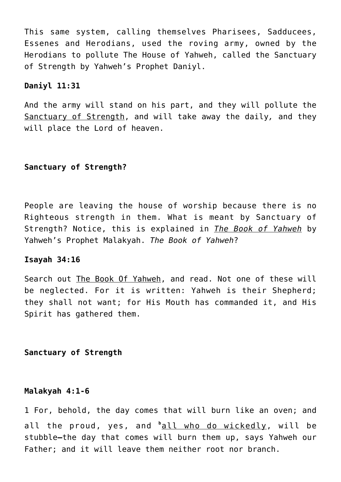This same system, calling themselves Pharisees, Sadducees, Essenes and Herodians, used the roving army, owned by the Herodians to pollute The House of Yahweh, called the Sanctuary of Strength by Yahweh's Prophet Daniyl.

## **Daniyl 11:31**

And the army will stand on his part, and they will pollute the Sanctuary of Strength, and will take away the daily*,* and they will place the Lord of heaven.

# **Sanctuary of Strength?**

People are leaving the house of worship because there is no Righteous strength in them. What is meant by Sanctuary of Strength? Notice, this is explained in *The Book of Yahweh* by Yahweh's Prophet Malakyah. *The Book of Yahweh*?

#### **Isayah 34:16**

Search out The Book Of Yahweh, and read. Not one of these will be neglected. For it is written: Yahweh is their Shepherd; they shall not want; for His Mouth has commanded it, and His Spirit has gathered them.

# **Sanctuary of Strength**

#### **Malakyah 4:1-6**

1 For, behold, the day comes that will burn like an oven; and all the proud, yes, and <sup>b</sup>all who do wickedly, will be stubble**—**the day that comes will burn them up, says Yahweh our Father; and it will leave them neither root nor branch.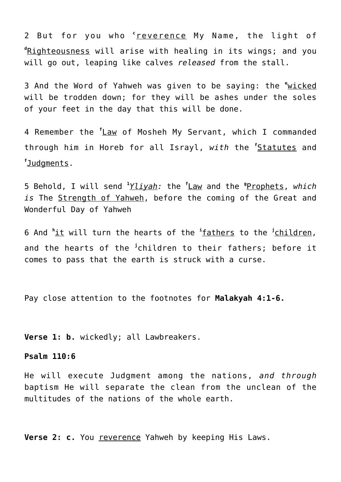2 But for you who **<sup>c</sup>** reverence My Name, the light of **d** Righteousness will arise with healing in its wings; and you will go out, leaping like calves *released* from the stall.

3 And the Word of Yahweh was given to be saying: the **<sup>e</sup>** wicked will be trodden down; for they will be ashes under the soles of your feet in the day that this will be done.

4 Remember the **<sup>f</sup>** Law of Mosheh My Servant, which I commanded through him in Horeb for all Israyl, *with* the **<sup>f</sup>** Statutes and **f** Judgments.

5 Behold, I will send **<sup>1</sup>** *Yliyah:* the **<sup>f</sup>** Law and the **<sup>g</sup>** Prophets, *which is* The Strength of Yahweh, before the coming of the Great and Wonderful Day of Yahweh

6 And **<sup>h</sup>** it will turn the hearts of the **<sup>i</sup>** fathers to the **<sup>j</sup>** children, and the hearts of the <sup>j</sup>children to their fathers; before it comes to pass that the earth is struck with a curse.

Pay close attention to the footnotes for **Malakyah 4:1-6.**

**Verse 1: b.** wickedly; all Lawbreakers.

## **Psalm 110:6**

He will execute Judgment among the nations, *and through* baptism He will separate the clean from the unclean of the multitudes of the nations of the whole earth.

**Verse 2: c.** You reverence Yahweh by keeping His Laws.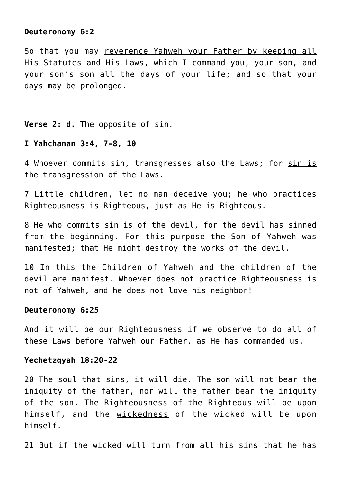#### **Deuteronomy 6:2**

So that you may reverence Yahweh your Father by keeping all His Statutes and His Laws, which I command you, your son, and your son's son all the days of your life; and so that your days may be prolonged.

#### **Verse 2: d.** The opposite of sin.

#### **I Yahchanan 3:4, 7-8, 10**

4 Whoever commits sin, transgresses also the Laws; for sin is the transgression of the Laws.

7 Little children, let no man deceive you; he who practices Righteousness is Righteous, just as He is Righteous.

8 He who commits sin is of the devil, for the devil has sinned from the beginning. For this purpose the Son of Yahweh was manifested; that He might destroy the works of the devil.

10 In this the Children of Yahweh and the children of the devil are manifest. Whoever does not practice Righteousness is not of Yahweh, and he does not love his neighbor!

#### **Deuteronomy 6:25**

And it will be our Righteousness if we observe to do all of these Laws before Yahweh our Father, as He has commanded us.

## **Yechetzqyah 18:20-22**

20 The soul that sins, it will die. The son will not bear the iniquity of the father, nor will the father bear the iniquity of the son. The Righteousness of the Righteous will be upon himself, and the wickedness of the wicked will be upon himself.

21 But if the wicked will turn from all his sins that he has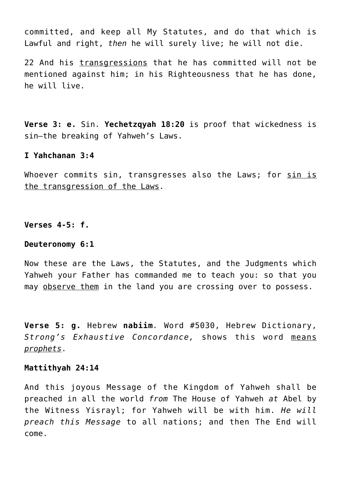committed, and keep all My Statutes, and do that which is Lawful and right, *then* he will surely live; he will not die.

22 And his transgressions that he has committed will not be mentioned against him; in his Righteousness that he has done, he will live.

**Verse 3: e.** Sin. **Yechetzqyah 18:20** is proof that wickedness is sin—the breaking of Yahweh's Laws.

# **I Yahchanan 3:4**

Whoever commits sin, transgresses also the Laws; for sin is the transgression of the Laws.

**Verses 4-5: f.**

#### **Deuteronomy 6:1**

Now these are the Laws, the Statutes, and the Judgments which Yahweh your Father has commanded me to teach you: so that you may observe them in the land you are crossing over to possess.

**Verse 5: g.** Hebrew **nabiim***.* Word #5030, Hebrew Dictionary, *Strong's Exhaustive Concordance,* shows this word means *prophets*.

#### **Mattithyah 24:14**

And this joyous Message of the Kingdom of Yahweh shall be preached in all the world *from* The House of Yahweh *at* Abel by the Witness Yisrayl; for Yahweh will be with him. *He will preach this Message* to all nations; and then The End will come.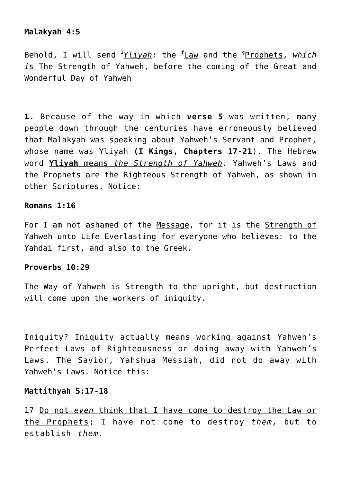# **Malakyah 4:5**

Behold, I will send **<sup>1</sup>** *Yliyah:* the **<sup>f</sup>** Law and the **<sup>g</sup>** Prophets, *which is* The Strength of Yahweh, before the coming of the Great and Wonderful Day of Yahweh

**1.** Because of the way in which **verse 5** was written, many people down through the centuries have erroneously believed that Malakyah was speaking about Yahweh's Servant and Prophet, whose name was Yliyah **(I Kings, Chapters 17-21**). The Hebrew word **Yliyah** means *the Strength of Yahweh.* Yahweh's Laws and the Prophets are the Righteous Strength of Yahweh, as shown in other Scriptures. Notice:

## **Romans 1:16**

For I am not ashamed of the Message, for it is the Strength of Yahweh unto Life Everlasting for everyone who believes: to the Yahdai first, and also to the Greek.

## **Proverbs 10:29**

The Way of Yahweh is Strength to the upright, but destruction will come upon the workers of iniquity.

Iniquity? Iniquity actually means working against Yahweh's Perfect Laws of Righteousness or doing away with Yahweh's Laws. The Savior, Yahshua Messiah, did not do away with Yahweh's Laws. Notice this:

# **Mattithyah 5:17-18**

17 Do not *even* think that I have come to destroy the Law or the Prophets; I have not come to destroy *them,* but to establish *them.*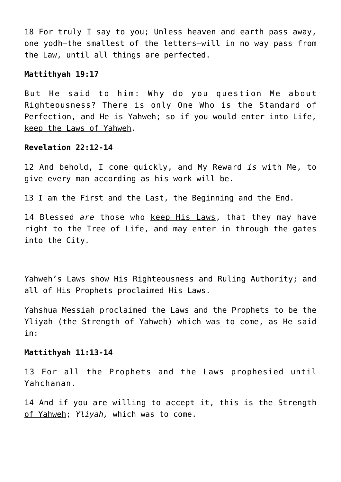18 For truly I say to you; Unless heaven and earth pass away, one yodh—the smallest of the letters—will in no way pass from the Law, until all things are perfected.

## **Mattithyah 19:17**

But He said to him: Why do you question Me about Righteousness? There is only One Who is the Standard of Perfection, and He is Yahweh; so if you would enter into Life, keep the Laws of Yahweh.

## **Revelation 22:12-14**

12 And behold, I come quickly, and My Reward *is* with Me, to give every man according as his work will be.

13 I am the First and the Last, the Beginning and the End.

14 Blessed *are* those who keep His Laws, that they may have right to the Tree of Life, and may enter in through the gates into the City.

Yahweh's Laws show His Righteousness and Ruling Authority; and all of His Prophets proclaimed His Laws.

Yahshua Messiah proclaimed the Laws and the Prophets to be the Yliyah (the Strength of Yahweh) which was to come, as He said in:

#### **Mattithyah 11:13-14**

13 For all the Prophets and the Laws prophesied until Yahchanan.

14 And if you are willing to accept it, this is the Strength of Yahweh; *Yliyah,* which was to come.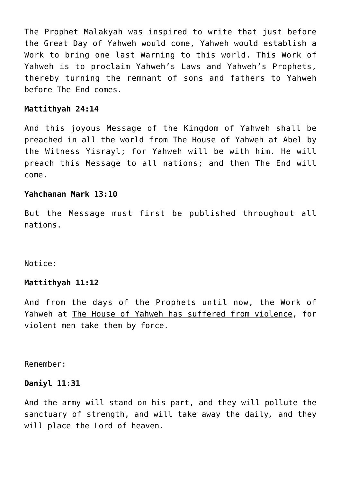The Prophet Malakyah was inspired to write that just before the Great Day of Yahweh would come, Yahweh would establish a Work to bring one last Warning to this world. This Work of Yahweh is to proclaim Yahweh's Laws and Yahweh's Prophets, thereby turning the remnant of sons and fathers to Yahweh before The End comes.

# **Mattithyah 24:14**

And this joyous Message of the Kingdom of Yahweh shall be preached in all the world from The House of Yahweh at Abel by the Witness Yisrayl; for Yahweh will be with him. He will preach this Message to all nations; and then The End will come.

# **Yahchanan Mark 13:10**

But the Message must first be published throughout all nations.

Notice:

# **Mattithyah 11:12**

And from the days of the Prophets until now, the Work of Yahweh at The House of Yahweh has suffered from violence, for violent men take them by force.

Remember:

# **Daniyl 11:31**

And the army will stand on his part, and they will pollute the sanctuary of strength, and will take away the daily*,* and they will place the Lord of heaven.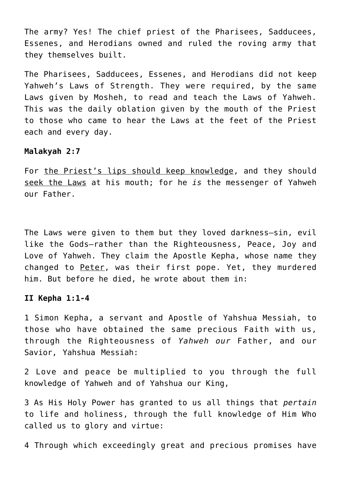The army? Yes! The chief priest of the Pharisees, Sadducees, Essenes, and Herodians owned and ruled the roving army that they themselves built.

The Pharisees, Sadducees, Essenes, and Herodians did not keep Yahweh's Laws of Strength. They were required, by the same Laws given by Mosheh, to read and teach the Laws of Yahweh. This was the daily oblation given by the mouth of the Priest to those who came to hear the Laws at the feet of the Priest each and every day.

#### **Malakyah 2:7**

For the Priest's lips should keep knowledge, and they should seek the Laws at his mouth; for he *is* the messenger of Yahweh our Father.

The Laws were given to them but they loved darkness–sin, evil like the Gods–rather than the Righteousness, Peace, Joy and Love of Yahweh. They claim the Apostle Kepha, whose name they changed to Peter, was their first pope. Yet, they murdered him. But before he died, he wrote about them in:

#### **II Kepha 1:1-4**

1 Simon Kepha, a servant and Apostle of Yahshua Messiah, to those who have obtained the same precious Faith with us, through the Righteousness of *Yahweh our* Father, and our Savior, Yahshua Messiah:

2 Love and peace be multiplied to you through the full knowledge of Yahweh and of Yahshua our King,

3 As His Holy Power has granted to us all things that *pertain* to life and holiness, through the full knowledge of Him Who called us to glory and virtue:

4 Through which exceedingly great and precious promises have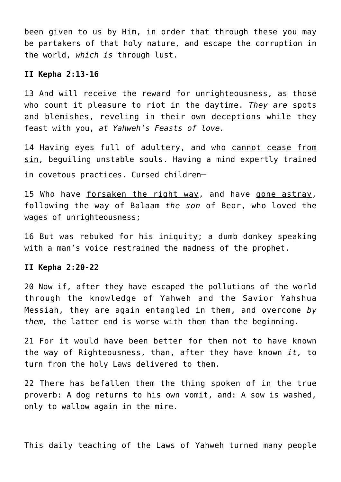been given to us by Him, in order that through these you may be partakers of that holy nature, and escape the corruption in the world, *which is* through lust.

#### **II Kepha 2:13-16**

13 And will receive the reward for unrighteousness, as those who count it pleasure to riot in the daytime. *They are* spots and blemishes, reveling in their own deceptions while they feast with you, *at Yahweh's Feasts of love.*

14 Having eyes full of adultery, and who cannot cease from sin, beguiling unstable souls. Having a mind expertly trained in covetous practices. Cursed children**\_\_**

15 Who have forsaken the right way, and have gone astray, following the way of Balaam *the son* of Beor, who loved the wages of unrighteousness;

16 But was rebuked for his iniquity; a dumb donkey speaking with a man's voice restrained the madness of the prophet.

#### **II Kepha 2:20-22**

20 Now if, after they have escaped the pollutions of the world through the knowledge of Yahweh and the Savior Yahshua Messiah, they are again entangled in them, and overcome *by them,* the latter end is worse with them than the beginning.

21 For it would have been better for them not to have known the way of Righteousness, than, after they have known *it,* to turn from the holy Laws delivered to them.

22 There has befallen them the thing spoken of in the true proverb: A dog returns to his own vomit, and: A sow is washed, only to wallow again in the mire.

This daily teaching of the Laws of Yahweh turned many people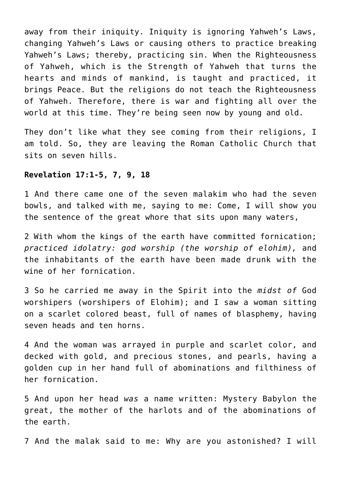away from their iniquity. Iniquity is ignoring Yahweh's Laws, changing Yahweh's Laws or causing others to practice breaking Yahweh's Laws; thereby, practicing sin. When the Righteousness of Yahweh, which is the Strength of Yahweh that turns the hearts and minds of mankind, is taught and practiced, it brings Peace. But the religions do not teach the Righteousness of Yahweh. Therefore, there is war and fighting all over the world at this time. They're being seen now by young and old.

They don't like what they see coming from their religions, I am told. So, they are leaving the Roman Catholic Church that sits on seven hills.

# **Revelation 17:1-5, 7, 9, 18**

1 And there came one of the seven malakim who had the seven bowls, and talked with me, saying to me: Come, I will show you the sentence of the great whore that sits upon many waters,

2 With whom the kings of the earth have committed fornication; *practiced idolatry: god worship (the worship of elohim),* and the inhabitants of the earth have been made drunk with the wine of her fornication.

3 So he carried me away in the Spirit into the *midst of* God worshipers (worshipers of Elohim); and I saw a woman sitting on a scarlet colored beast, full of names of blasphemy, having seven heads and ten horns.

4 And the woman was arrayed in purple and scarlet color, and decked with gold, and precious stones, and pearls, having a golden cup in her hand full of abominations and filthiness of her fornication.

5 And upon her head *was* a name written: Mystery Babylon the great, the mother of the harlots and of the abominations of the earth.

7 And the malak said to me: Why are you astonished? I will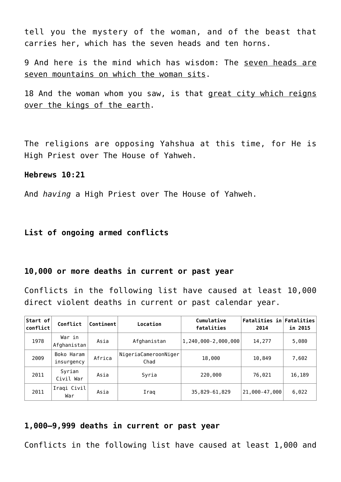tell you the mystery of the woman, and of the beast that carries her, which has the seven heads and ten horns.

9 And here is the mind which has wisdom: The seven heads are seven mountains on which the woman sits.

18 And the woman whom you saw, is that great city which reigns over the kings of the earth.

The religions are opposing Yahshua at this time, for He is High Priest over The House of Yahweh.

## **Hebrews 10:21**

And *having* a High Priest over The House of Yahweh.

# **List of ongoing armed conflicts**

#### **10,000 or more deaths in current or past year**

Conflicts in the following list have caused at least 10,000 direct violent deaths in current or past calendar year.

| Start of<br>conflict | Conflict                 | Continent | Location                     | Cumulative<br>fatalities | Fatalities in Fatalities<br>2014 | in 2015 |
|----------------------|--------------------------|-----------|------------------------------|--------------------------|----------------------------------|---------|
| 1978                 | War in<br>Afghanistan    | Asia      | Afghanistan                  | 1,240,000-2,000,000      | 14,277                           | 5,080   |
| 2009                 | Boko Haram<br>insurgency | Africa    | NigeriaCameroonNiger<br>Chad | 18,000                   | 10,849                           | 7,602   |
| 2011                 | Syrian<br>Civil War      | Asia      | Syria                        | 220,000                  | 76.021                           | 16,189  |
| 2011                 | Iraqi Civil<br>War       | Asia      | Iraq                         | 35,829-61,829            | 21,000-47,000                    | 6,022   |

# **1,000–9,999 deaths in current or past year**

Conflicts in the following list have caused at least 1,000 and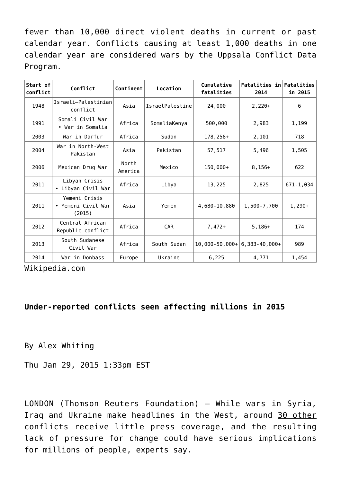fewer than 10,000 direct violent deaths in current or past calendar year. Conflicts causing at least 1,000 deaths in one calendar year are considered wars by the Uppsala Conflict Data Program.

| Start of<br>conflict | Conflict                                      | Continent        | Location        | Cumulative<br>fatalities             | Fatalities in Fatalities<br>2014 | in 2015   |
|----------------------|-----------------------------------------------|------------------|-----------------|--------------------------------------|----------------------------------|-----------|
| 1948                 | Israeli-Palestinian<br>conflict               | Asia             | IsraelPalestine | 24,000                               | $2,220+$                         | 6         |
| 1991                 | Somali Civil War<br>• War in Somalia          | Africa           | SomaliaKenya    | 500,000                              | 2,983                            | 1,199     |
| 2003                 | War in Darfur                                 | Africa           | Sudan           | 178,258+                             | 2,101                            | 718       |
| 2004                 | War in North-West<br>Pakistan                 | Asia             | Pakistan        | 57,517                               | 5,496                            | 1,505     |
| 2006                 | Mexican Drug War                              | North<br>America | Mexico          | 150,000+                             | $8,156+$                         | 622       |
| 2011                 | Libyan Crisis<br>• Libyan Civil War           | Africa           | Libya           | 13,225                               | 2,825                            | 671-1,034 |
| 2011                 | Yemeni Crisis<br>• Yemeni Civil War<br>(2015) | Asia             | Yemen           | 4,680-10,880                         | 1,500-7,700                      | $1,290+$  |
| 2012                 | Central African<br>Republic conflict          | Africa           | <b>CAR</b>      | $7,472+$                             | $5,186+$                         | 174       |
| 2013                 | South Sudanese<br>Civil War                   | Africa           | South Sudan     | $10.000 - 50.000 + 6.383 - 40.000 +$ |                                  | 989       |
| 2014                 | War in Donbass                                | Europe           | Ukraine         | 6,225                                | 4,771                            | 1,454     |

Wikipedia.com

# **Under-reported conflicts seen affecting millions in 2015**

By Alex Whiting

Thu Jan 29, 2015 1:33pm EST

LONDON (Thomson Reuters Foundation) – While wars in Syria, Iraq and Ukraine make headlines in the West, around 30 other conflicts receive little press coverage, and the resulting lack of pressure for change could have serious implications for millions of people, experts say.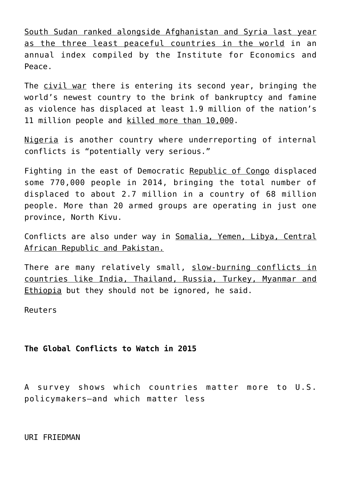South Sudan ranked alongside Afghanistan and Syria last year as the three least peaceful countries in the world in an annual index compiled by the Institute for Economics and Peace.

The civil war there is entering its second year, bringing the world's newest country to the brink of bankruptcy and famine as violence has displaced at least 1.9 million of the nation's 11 million people and killed more than 10,000.

Nigeria is another country where underreporting of internal conflicts is "potentially very serious."

Fighting in the east of Democratic Republic of Congo displaced some 770,000 people in 2014, bringing the total number of displaced to about 2.7 million in a country of 68 million people. More than 20 armed groups are operating in just one province, North Kivu.

Conflicts are also under way in Somalia, Yemen, Libya, Central African Republic and Pakistan.

There are many relatively small, slow-burning conflicts in countries like India, Thailand, Russia, Turkey, Myanmar and Ethiopia but they should not be ignored, he said.

Reuters

# **The Global Conflicts to Watch in 2015**

A survey shows which countries matter more to U.S. policymakers—and which matter less

URI FRIEDMAN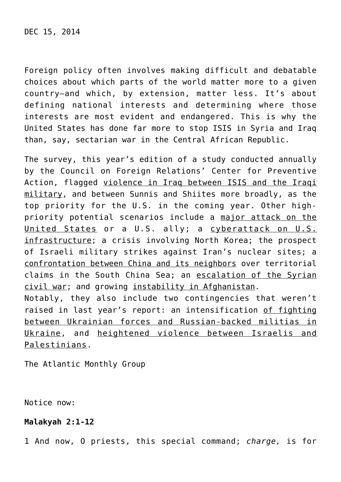Foreign policy often involves making difficult and debatable choices about which parts of the world matter more to a given country—and which, by extension, matter less. It's about defining national interests and determining where those interests are most evident and endangered. This is why the United States has done far more to stop ISIS in Syria and Iraq than, say, sectarian war in the Central African Republic.

The survey, this year's edition of a study conducted annually by the Council on Foreign Relations' Center for Preventive Action, flagged violence in Iraq between ISIS and the Iraqi military, and between Sunnis and Shiites more broadly, as the top priority for the U.S. in the coming year. Other highpriority potential scenarios include a major attack on the United States or a U.S. ally; a cyberattack on U.S. infrastructure; a crisis involving North Korea; the prospect of Israeli military strikes against Iran's nuclear sites; a confrontation between China and its neighbors over territorial claims in the South China Sea; an escalation of the Syrian civil war; and growing instability in Afghanistan. Notably, they also include two contingencies that weren't raised in last year's report: an intensification of fighting between Ukrainian forces and Russian-backed militias in Ukraine, and heightened violence between Israelis and Palestinians.

The Atlantic Monthly Group

Notice now:

## **Malakyah 2:1-12**

1 And now, O priests, this special command; *charge,* is for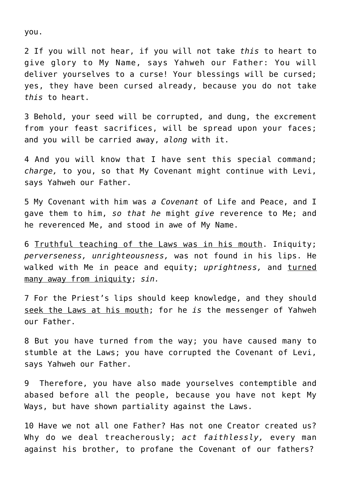you.

2 If you will not hear, if you will not take *this* to heart to give glory to My Name, says Yahweh our Father: You will deliver yourselves to a curse! Your blessings will be cursed; yes, they have been cursed already, because you do not take *this* to heart.

3 Behold, your seed will be corrupted, and dung, the excrement from your feast sacrifices, will be spread upon your faces; and you will be carried away, *along* with it.

4 And you will know that I have sent this special command; *charge,* to you, so that My Covenant might continue with Levi, says Yahweh our Father.

5 My Covenant with him was *a Covenant* of Life and Peace, and I gave them to him, *so that he* might *give* reverence to Me; and he reverenced Me, and stood in awe of My Name.

6 Truthful teaching of the Laws was in his mouth. Iniquity; *perverseness, unrighteousness,* was not found in his lips. He walked with Me in peace and equity; *uprightness,* and turned many away from iniquity; *sin.*

7 For the Priest's lips should keep knowledge, and they should seek the Laws at his mouth; for he *is* the messenger of Yahweh our Father.

8 But you have turned from the way; you have caused many to stumble at the Laws; you have corrupted the Covenant of Levi, says Yahweh our Father.

9 Therefore, you have also made yourselves contemptible and abased before all the people, because you have not kept My Ways, but have shown partiality against the Laws.

10 Have we not all one Father? Has not one Creator created us? Why do we deal treacherously; *act faithlessly,* every man against his brother, to profane the Covenant of our fathers?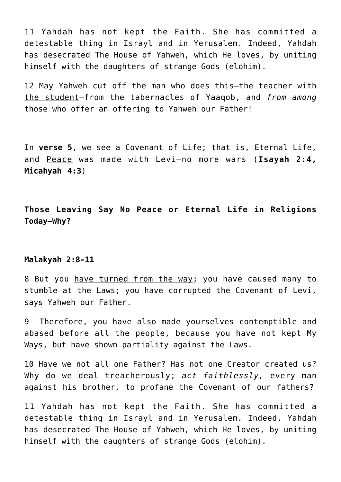11 Yahdah has not kept the Faith. She has committed a detestable thing in Israyl and in Yerusalem. Indeed, Yahdah has desecrated The House of Yahweh, which He loves, by uniting himself with the daughters of strange Gods (elohim).

12 May Yahweh cut off the man who does this—the teacher with the student—from the tabernacles of Yaaqob, and *from among* those who offer an offering to Yahweh our Father!

In **verse 5**, we see a Covenant of Life; that is, Eternal Life, and Peace was made with Levi—no more wars (**Isayah 2:4, Micahyah 4:3**)

**Those Leaving Say No Peace or Eternal Life in Religions Today—Why?**

#### **Malakyah 2:8-11**

8 But you have turned from the way; you have caused many to stumble at the Laws; you have corrupted the Covenant of Levi, says Yahweh our Father.

9 Therefore, you have also made yourselves contemptible and abased before all the people, because you have not kept My Ways, but have shown partiality against the Laws.

10 Have we not all one Father? Has not one Creator created us? Why do we deal treacherously; *act faithlessly,* every man against his brother, to profane the Covenant of our fathers?

11 Yahdah has not kept the Faith. She has committed a detestable thing in Israyl and in Yerusalem. Indeed, Yahdah has desecrated The House of Yahweh, which He loves, by uniting himself with the daughters of strange Gods (elohim).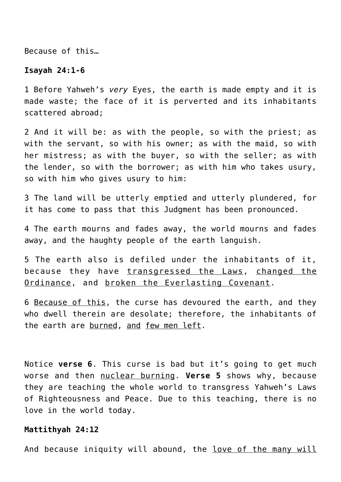Because of this…

#### **Isayah 24:1-6**

1 Before Yahweh's *very* Eyes, the earth is made empty and it is made waste; the face of it is perverted and its inhabitants scattered abroad;

2 And it will be: as with the people, so with the priest; as with the servant, so with his owner; as with the maid, so with her mistress; as with the buyer, so with the seller; as with the lender, so with the borrower; as with him who takes usury, so with him who gives usury to him:

3 The land will be utterly emptied and utterly plundered, for it has come to pass that this Judgment has been pronounced.

4 The earth mourns and fades away, the world mourns and fades away, and the haughty people of the earth languish.

5 The earth also is defiled under the inhabitants of it, because they have transgressed the Laws, changed the Ordinance, and broken the Everlasting Covenant.

6 Because of this, the curse has devoured the earth, and they who dwell therein are desolate; therefore, the inhabitants of the earth are burned, and few men left.

Notice **verse 6**. This curse is bad but it's going to get much worse and then nuclear burning. **Verse 5** shows why, because they are teaching the whole world to transgress Yahweh's Laws of Righteousness and Peace. Due to this teaching, there is no love in the world today.

#### **Mattithyah 24:12**

And because iniquity will abound, the love of the many will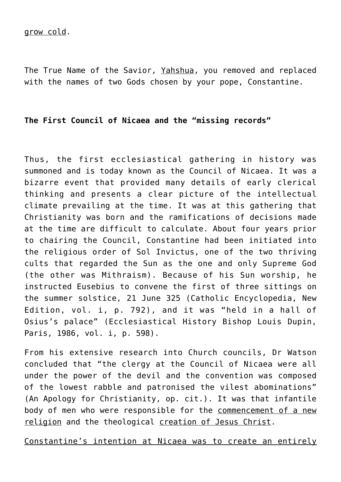The True Name of the Savior, Yahshua, you removed and replaced with the names of two Gods chosen by your pope, Constantine.

# **The First Council of Nicaea and the "missing records"**

Thus, the first ecclesiastical gathering in history was summoned and is today known as the Council of Nicaea. It was a bizarre event that provided many details of early clerical thinking and presents a clear picture of the intellectual climate prevailing at the time. It was at this gathering that Christianity was born and the ramifications of decisions made at the time are difficult to calculate. About four years prior to chairing the Council, Constantine had been initiated into the religious order of Sol Invictus, one of the two thriving cults that regarded the Sun as the one and only Supreme God (the other was Mithraism). Because of his Sun worship, he instructed Eusebius to convene the first of three sittings on the summer solstice, 21 June 325 (Catholic Encyclopedia, New Edition, vol. i, p. 792), and it was "held in a hall of Osius's palace" (Ecclesiastical History Bishop Louis Dupin, Paris, 1986, vol. i, p. 598).

From his extensive research into Church councils, Dr Watson concluded that "the clergy at the Council of Nicaea were all under the power of the devil and the convention was composed of the lowest rabble and patronised the vilest abominations" (An Apology for Christianity, op. cit.). It was that infantile body of men who were responsible for the commencement of a new religion and the theological creation of Jesus Christ.

Constantine's intention at Nicaea was to create an entirely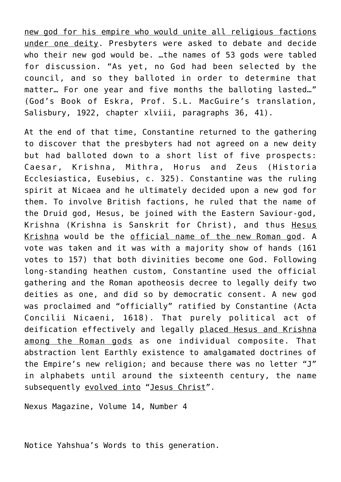new god for his empire who would unite all religious factions under one deity. Presbyters were asked to debate and decide who their new god would be. …the names of 53 gods were tabled for discussion. "As yet, no God had been selected by the council, and so they balloted in order to determine that matter… For one year and five months the balloting lasted…" (God's Book of Eskra, Prof. S.L. MacGuire's translation, Salisbury, 1922, chapter xlviii, paragraphs 36, 41).

At the end of that time, Constantine returned to the gathering to discover that the presbyters had not agreed on a new deity but had balloted down to a short list of five prospects: Caesar, Krishna, Mithra, Horus and Zeus (Historia Ecclesiastica, Eusebius, c. 325). Constantine was the ruling spirit at Nicaea and he ultimately decided upon a new god for them. To involve British factions, he ruled that the name of the Druid god, Hesus, be joined with the Eastern Saviour-god, Krishna (Krishna is Sanskrit for Christ), and thus Hesus Krishna would be the official name of the new Roman god. A vote was taken and it was with a majority show of hands (161 votes to 157) that both divinities become one God. Following long-standing heathen custom, Constantine used the official gathering and the Roman apotheosis decree to legally deify two deities as one, and did so by democratic consent. A new god was proclaimed and "officially" ratified by Constantine (Acta Concilii Nicaeni, 1618). That purely political act of deification effectively and legally placed Hesus and Krishna among the Roman gods as one individual composite. That abstraction lent Earthly existence to amalgamated doctrines of the Empire's new religion; and because there was no letter "J" in alphabets until around the sixteenth century, the name subsequently evolved into "Jesus Christ".

Nexus Magazine, Volume 14, Number 4

Notice Yahshua's Words to this generation.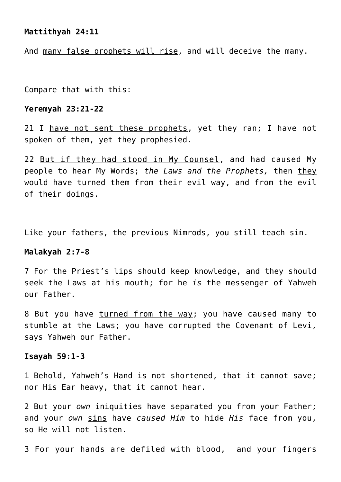# **Mattithyah 24:11**

And many false prophets will rise, and will deceive the many.

Compare that with this:

#### **Yeremyah 23:21-22**

21 I have not sent these prophets, yet they ran; I have not spoken of them, yet they prophesied.

22 But if they had stood in My Counsel, and had caused My people to hear My Words; *the Laws and the Prophets,* then they would have turned them from their evil way, and from the evil of their doings.

Like your fathers, the previous Nimrods, you still teach sin.

## **Malakyah 2:7-8**

7 For the Priest's lips should keep knowledge, and they should seek the Laws at his mouth; for he *is* the messenger of Yahweh our Father.

8 But you have turned from the way; you have caused many to stumble at the Laws; you have corrupted the Covenant of Levi, says Yahweh our Father.

# **Isayah 59:1-3**

1 Behold, Yahweh's Hand is not shortened, that it cannot save; nor His Ear heavy, that it cannot hear.

2 But your *own* iniquities have separated you from your Father; and your *own* sins have *caused Him* to hide *His* face from you, so He will not listen.

3 For your hands are defiled with blood, and your fingers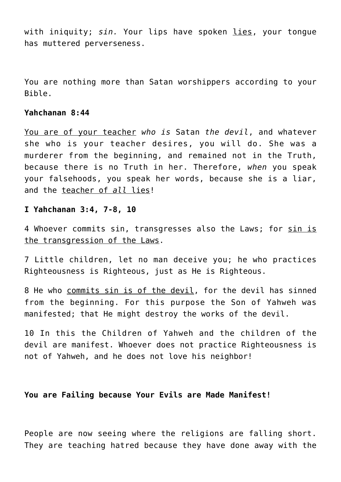with iniquity; *sin.* Your lips have spoken lies, your tongue has muttered perverseness.

You are nothing more than Satan worshippers according to your Bible.

## **Yahchanan 8:44**

You are of your teacher *who is* Satan *the devil*, and whatever she who is your teacher desires, you will do. She was a murderer from the beginning, and remained not in the Truth, because there is no Truth in her. Therefore, *when* you speak your falsehoods, you speak her words, because she is a liar, and the teacher of *all* lies!

## **I Yahchanan 3:4, 7-8, 10**

4 Whoever commits sin, transgresses also the Laws; for sin is the transgression of the Laws.

7 Little children, let no man deceive you; he who practices Righteousness is Righteous, just as He is Righteous.

8 He who commits sin is of the devil, for the devil has sinned from the beginning. For this purpose the Son of Yahweh was manifested; that He might destroy the works of the devil.

10 In this the Children of Yahweh and the children of the devil are manifest. Whoever does not practice Righteousness is not of Yahweh, and he does not love his neighbor!

# **You are Failing because Your Evils are Made Manifest!**

People are now seeing where the religions are falling short. They are teaching hatred because they have done away with the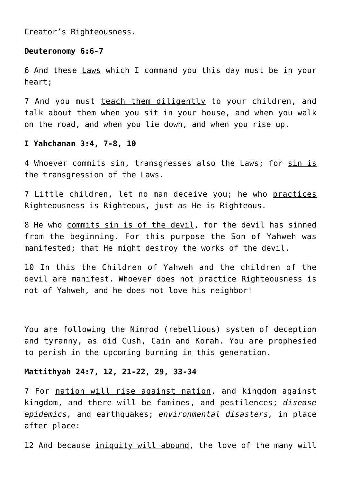Creator's Righteousness.

# **Deuteronomy 6:6-7**

6 And these Laws which I command you this day must be in your heart;

7 And you must teach them diligently to your children, and talk about them when you sit in your house, and when you walk on the road, and when you lie down, and when you rise up.

## **I Yahchanan 3:4, 7-8, 10**

4 Whoever commits sin, transgresses also the Laws; for sin is the transgression of the Laws.

7 Little children, let no man deceive you; he who practices Righteousness is Righteous, just as He is Righteous.

8 He who commits sin is of the devil, for the devil has sinned from the beginning. For this purpose the Son of Yahweh was manifested; that He might destroy the works of the devil.

10 In this the Children of Yahweh and the children of the devil are manifest. Whoever does not practice Righteousness is not of Yahweh, and he does not love his neighbor!

You are following the Nimrod (rebellious) system of deception and tyranny, as did Cush, Cain and Korah. You are prophesied to perish in the upcoming burning in this generation.

## **Mattithyah 24:7, 12, 21-22, 29, 33-34**

7 For nation will rise against nation, and kingdom against kingdom, and there will be famines, and pestilences; *disease epidemics,* and earthquakes; *environmental disasters,* in place after place:

12 And because iniquity will abound, the love of the many will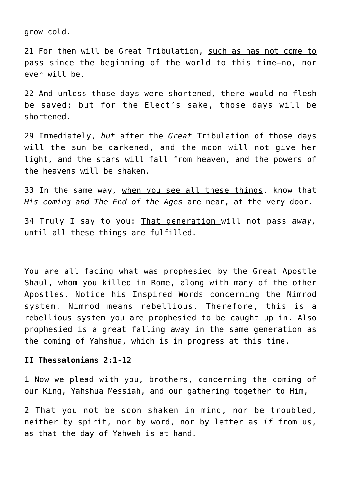grow cold.

21 For then will be Great Tribulation, such as has not come to pass since the beginning of the world to this time—no, nor ever will be.

22 And unless those days were shortened, there would no flesh be saved; but for the Elect's sake, those days will be shortened.

29 Immediately, *but* after the *Great* Tribulation of those days will the sun be darkened, and the moon will not give her light, and the stars will fall from heaven, and the powers of the heavens will be shaken.

33 In the same way, when you see all these things, know that *His coming and The End of the Ages* are near, at the very door.

34 Truly I say to you: That generation will not pass *away,* until all these things are fulfilled.

You are all facing what was prophesied by the Great Apostle Shaul, whom you killed in Rome, along with many of the other Apostles. Notice his Inspired Words concerning the Nimrod system. Nimrod means rebellious. Therefore, this is a rebellious system you are prophesied to be caught up in. Also prophesied is a great falling away in the same generation as the coming of Yahshua, which is in progress at this time.

# **II Thessalonians 2:1-12**

1 Now we plead with you, brothers, concerning the coming of our King, Yahshua Messiah, and our gathering together to Him,

2 That you not be soon shaken in mind, nor be troubled, neither by spirit, nor by word, nor by letter as *if* from us, as that the day of Yahweh is at hand.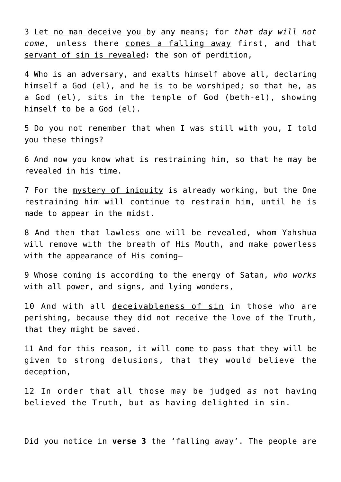3 Let no man deceive you by any means; for *that day will not come,* unless there comes a falling away first, and that servant of sin is revealed: the son of perdition,

4 Who is an adversary, and exalts himself above all, declaring himself a God (el), and he is to be worshiped; so that he, as a God (el), sits in the temple of God (beth-el), showing himself to be a God (el).

5 Do you not remember that when I was still with you, I told you these things?

6 And now you know what is restraining him, so that he may be revealed in his time.

7 For the mystery of iniquity is already working, but the One restraining him will continue to restrain him, until he is made to appear in the midst.

8 And then that lawless one will be revealed, whom Yahshua will remove with the breath of His Mouth, and make powerless with the appearance of His coming—

9 Whose coming is according to the energy of Satan, *who works* with all power, and signs, and lying wonders,

10 And with all deceivableness of sin in those who are perishing, because they did not receive the love of the Truth, that they might be saved.

11 And for this reason, it will come to pass that they will be given to strong delusions, that they would believe the deception,

12 In order that all those may be judged *as* not having believed the Truth, but as having delighted in sin.

Did you notice in **verse 3** the 'falling away'. The people are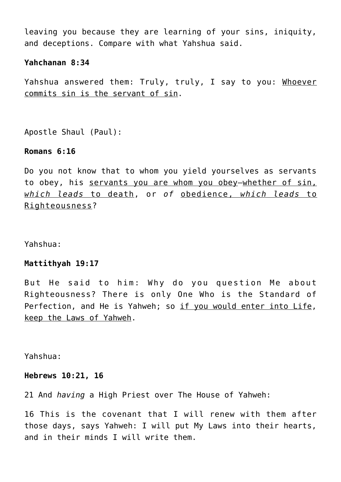leaving you because they are learning of your sins, iniquity, and deceptions. Compare with what Yahshua said.

## **Yahchanan 8:34**

Yahshua answered them: Truly, truly, I say to you: Whoever commits sin is the servant of sin.

Apostle Shaul (Paul):

## **Romans 6:16**

Do you not know that to whom you yield yourselves as servants to obey, his servants you are whom you obey—whether of sin, *which leads* to death, or *of* obedience, *which leads* to Righteousness?

Yahshua:

# **Mattithyah 19:17**

But He said to him: Why do you question Me about Righteousness? There is only One Who is the Standard of Perfection, and He is Yahweh; so if you would enter into Life, keep the Laws of Yahweh.

Yahshua:

## **Hebrews 10:21, 16**

21 And *having* a High Priest over The House of Yahweh:

16 This is the covenant that I will renew with them after those days, says Yahweh: I will put My Laws into their hearts, and in their minds I will write them.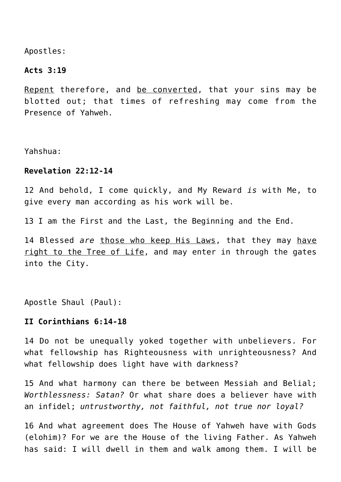Apostles:

## **Acts 3:19**

Repent therefore, and be converted, that your sins may be blotted out; that times of refreshing may come from the Presence of Yahweh.

Yahshua:

# **Revelation 22:12-14**

12 And behold, I come quickly, and My Reward *is* with Me, to give every man according as his work will be.

13 I am the First and the Last, the Beginning and the End.

14 Blessed *are* those who keep His Laws, that they may have right to the Tree of Life, and may enter in through the gates into the City.

Apostle Shaul (Paul):

# **II Corinthians 6:14-18**

14 Do not be unequally yoked together with unbelievers. For what fellowship has Righteousness with unrighteousness? And what fellowship does light have with darkness?

15 And what harmony can there be between Messiah and Belial; *Worthlessness: Satan?* Or what share does a believer have with an infidel; *untrustworthy, not faithful, not true nor loyal?*

16 And what agreement does The House of Yahweh have with Gods (elohim)? For we are the House of the living Father. As Yahweh has said: I will dwell in them and walk among them. I will be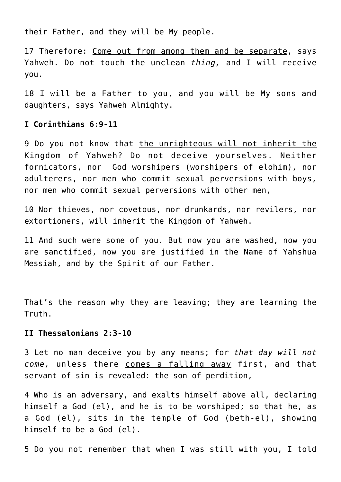their Father, and they will be My people.

17 Therefore: Come out from among them and be separate, says Yahweh. Do not touch the unclean *thing,* and I will receive you.

18 I will be a Father to you, and you will be My sons and daughters, says Yahweh Almighty.

# **I Corinthians 6:9-11**

9 Do you not know that the unrighteous will not inherit the Kingdom of Yahweh? Do not deceive yourselves. Neither fornicators, nor God worshipers (worshipers of elohim), nor adulterers, nor men who commit sexual perversions with boys, nor men who commit sexual perversions with other men,

10 Nor thieves, nor covetous, nor drunkards, nor revilers, nor extortioners, will inherit the Kingdom of Yahweh.

11 And such were some of you. But now you are washed, now you are sanctified, now you are justified in the Name of Yahshua Messiah, and by the Spirit of our Father.

That's the reason why they are leaving; they are learning the Truth.

### **II Thessalonians 2:3-10**

3 Let no man deceive you by any means; for *that day will not come,* unless there comes a falling away first, and that servant of sin is revealed: the son of perdition,

4 Who is an adversary, and exalts himself above all, declaring himself a God (el), and he is to be worshiped; so that he, as a God (el), sits in the temple of God (beth-el), showing himself to be a God (el).

5 Do you not remember that when I was still with you, I told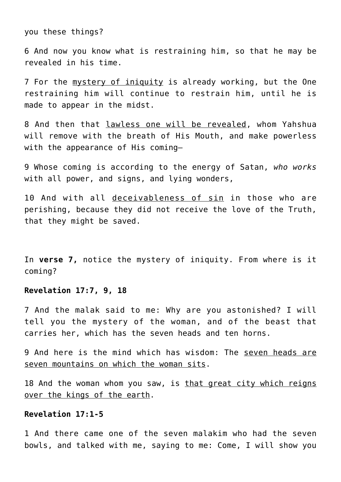you these things?

6 And now you know what is restraining him, so that he may be revealed in his time.

7 For the mystery of iniquity is already working, but the One restraining him will continue to restrain him, until he is made to appear in the midst.

8 And then that lawless one will be revealed, whom Yahshua will remove with the breath of His Mouth, and make powerless with the appearance of His coming—

9 Whose coming is according to the energy of Satan, *who works* with all power, and signs, and lying wonders,

10 And with all deceivableness of sin in those who are perishing, because they did not receive the love of the Truth, that they might be saved.

In **verse 7,** notice the mystery of iniquity. From where is it coming?

#### **Revelation 17:7, 9, 18**

7 And the malak said to me: Why are you astonished? I will tell you the mystery of the woman, and of the beast that carries her, which has the seven heads and ten horns.

9 And here is the mind which has wisdom: The seven heads are seven mountains on which the woman sits.

18 And the woman whom you saw, is that great city which reigns over the kings of the earth.

# **Revelation 17:1-5**

1 And there came one of the seven malakim who had the seven bowls, and talked with me, saying to me: Come, I will show you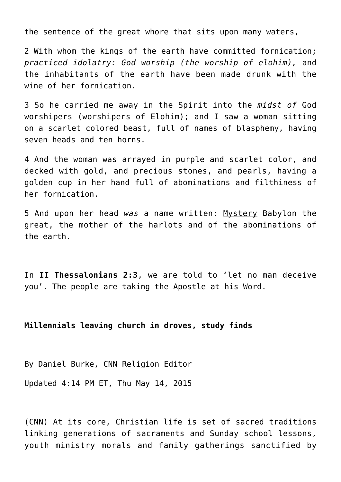the sentence of the great whore that sits upon many waters,

2 With whom the kings of the earth have committed fornication; *practiced idolatry: God worship (the worship of elohim),* and the inhabitants of the earth have been made drunk with the wine of her fornication.

3 So he carried me away in the Spirit into the *midst of* God worshipers (worshipers of Elohim); and I saw a woman sitting on a scarlet colored beast, full of names of blasphemy, having seven heads and ten horns.

4 And the woman was arrayed in purple and scarlet color, and decked with gold, and precious stones, and pearls, having a golden cup in her hand full of abominations and filthiness of her fornication.

5 And upon her head *was* a name written: Mystery Babylon the great, the mother of the harlots and of the abominations of the earth.

In **II Thessalonians 2:3**, we are told to 'let no man deceive you'. The people are taking the Apostle at his Word.

## **Millennials leaving church in droves, study finds**

By Daniel Burke, CNN Religion Editor

Updated 4:14 PM ET, Thu May 14, 2015

(CNN) At its core, Christian life is set of sacred traditions linking generations of sacraments and Sunday school lessons, youth ministry morals and family gatherings sanctified by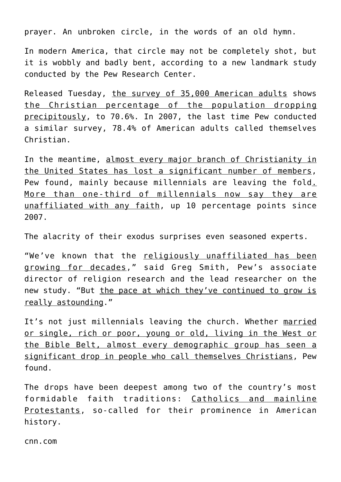prayer. An unbroken circle, in the words of an old hymn.

In modern America, that circle may not be completely shot, but it is wobbly and badly bent, according to a new landmark study conducted by the Pew Research Center.

Released Tuesday, the survey of 35,000 American adults shows the Christian percentage of the population dropping precipitously, to 70.6%. In 2007, the last time Pew conducted a similar survey, 78.4% of American adults called themselves Christian.

In the meantime, almost every major branch of Christianity in the United States has lost a significant number of members, Pew found, mainly because millennials are leaving the fold. More than one-third of millennials now say they are unaffiliated with any faith, up 10 percentage points since 2007.

The alacrity of their exodus surprises even seasoned experts.

"We've known that the religiously unaffiliated has been growing for decades," said Greg Smith, Pew's associate director of religion research and the lead researcher on the new study. "But the pace at which they've continued to grow is really astounding."

It's not just millennials leaving the church. Whether married or single, rich or poor, young or old, living in the West or the Bible Belt, almost every demographic group has seen a significant drop in people who call themselves Christians, Pew found.

The drops have been deepest among two of the country's most formidable faith traditions: Catholics and mainline Protestants, so-called for their prominence in American history.

cnn.com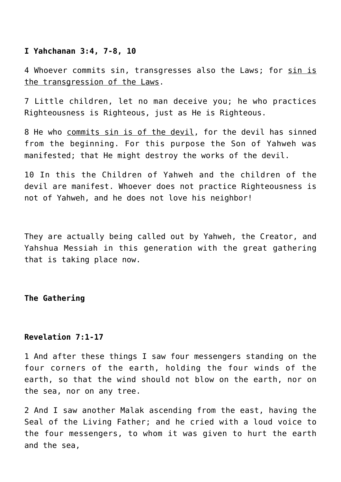## **I Yahchanan 3:4, 7-8, 10**

4 Whoever commits sin, transgresses also the Laws; for sin is the transgression of the Laws.

7 Little children, let no man deceive you; he who practices Righteousness is Righteous, just as He is Righteous.

8 He who commits sin is of the devil, for the devil has sinned from the beginning. For this purpose the Son of Yahweh was manifested; that He might destroy the works of the devil.

10 In this the Children of Yahweh and the children of the devil are manifest. Whoever does not practice Righteousness is not of Yahweh, and he does not love his neighbor!

They are actually being called out by Yahweh, the Creator, and Yahshua Messiah in this generation with the great gathering that is taking place now.

**The Gathering**

# **Revelation 7:1-17**

1 And after these things I saw four messengers standing on the four corners of the earth, holding the four winds of the earth, so that the wind should not blow on the earth, nor on the sea, nor on any tree.

2 And I saw another Malak ascending from the east, having the Seal of the Living Father; and he cried with a loud voice to the four messengers, to whom it was given to hurt the earth and the sea,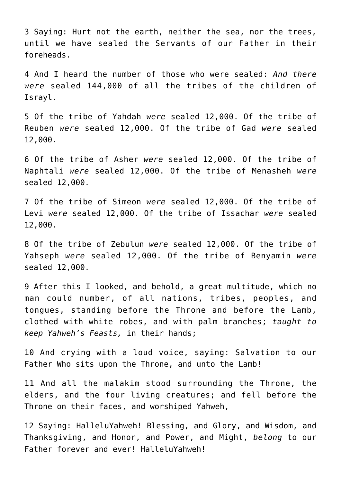3 Saying: Hurt not the earth, neither the sea, nor the trees, until we have sealed the Servants of our Father in their foreheads.

4 And I heard the number of those who were sealed: *And there were* sealed 144,000 of all the tribes of the children of Israyl.

5 Of the tribe of Yahdah *were* sealed 12,000. Of the tribe of Reuben *were* sealed 12,000. Of the tribe of Gad *were* sealed 12,000.

6 Of the tribe of Asher *were* sealed 12,000. Of the tribe of Naphtali *were* sealed 12,000. Of the tribe of Menasheh *were* sealed 12,000.

7 Of the tribe of Simeon *were* sealed 12,000. Of the tribe of Levi *were* sealed 12,000. Of the tribe of Issachar *were* sealed 12,000.

8 Of the tribe of Zebulun *were* sealed 12,000. Of the tribe of Yahseph *were* sealed 12,000. Of the tribe of Benyamin *were* sealed 12,000.

9 After this I looked, and behold, a great multitude, which no man could number, of all nations, tribes, peoples, and tongues, standing before the Throne and before the Lamb, clothed with white robes, and with palm branches; *taught to keep Yahweh's Feasts,* in their hands;

10 And crying with a loud voice, saying: Salvation to our Father Who sits upon the Throne, and unto the Lamb!

11 And all the malakim stood surrounding the Throne, the elders, and the four living creatures; and fell before the Throne on their faces, and worshiped Yahweh,

12 Saying: HalleluYahweh! Blessing, and Glory, and Wisdom, and Thanksgiving, and Honor, and Power, and Might, *belong* to our Father forever and ever! HalleluYahweh!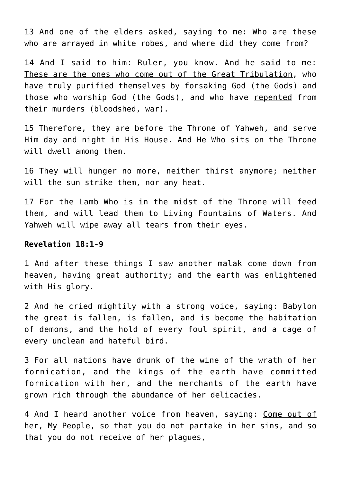13 And one of the elders asked, saying to me: Who are these who are arrayed in white robes, and where did they come from?

14 And I said to him: Ruler, you know. And he said to me: These are the ones who come out of the Great Tribulation, who have truly purified themselves by forsaking God (the Gods) and those who worship God (the Gods), and who have repented from their murders (bloodshed, war).

15 Therefore, they are before the Throne of Yahweh, and serve Him day and night in His House. And He Who sits on the Throne will dwell among them.

16 They will hunger no more, neither thirst anymore; neither will the sun strike them, nor any heat.

17 For the Lamb Who is in the midst of the Throne will feed them, and will lead them to Living Fountains of Waters. And Yahweh will wipe away all tears from their eyes.

# **Revelation 18:1-9**

1 And after these things I saw another malak come down from heaven, having great authority; and the earth was enlightened with His glory.

2 And he cried mightily with a strong voice, saying: Babylon the great is fallen, is fallen, and is become the habitation of demons, and the hold of every foul spirit, and a cage of every unclean and hateful bird.

3 For all nations have drunk of the wine of the wrath of her fornication, and the kings of the earth have committed fornication with her, and the merchants of the earth have grown rich through the abundance of her delicacies.

4 And I heard another voice from heaven, saying: Come out of her, My People, so that you do not partake in her sins, and so that you do not receive of her plagues,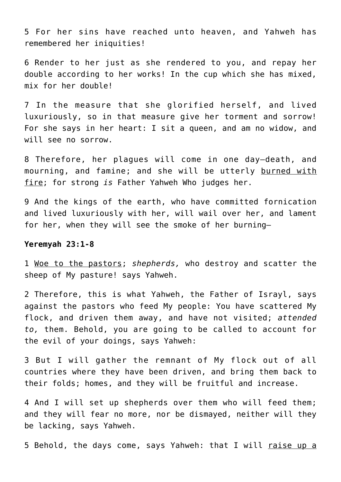5 For her sins have reached unto heaven, and Yahweh has remembered her iniquities!

6 Render to her just as she rendered to you, and repay her double according to her works! In the cup which she has mixed, mix for her double!

7 In the measure that she glorified herself, and lived luxuriously, so in that measure give her torment and sorrow! For she says in her heart: I sit a queen, and am no widow, and will see no sorrow.

8 Therefore, her plagues will come in one day—death, and mourning, and famine; and she will be utterly burned with fire; for strong *is* Father Yahweh Who judges her.

9 And the kings of the earth, who have committed fornication and lived luxuriously with her, will wail over her, and lament for her, when they will see the smoke of her burning—

#### **Yeremyah 23:1-8**

1 Woe to the pastors; *shepherds,* who destroy and scatter the sheep of My pasture! says Yahweh.

2 Therefore, this is what Yahweh, the Father of Israyl, says against the pastors who feed My people: You have scattered My flock, and driven them away, and have not visited; *attended to,* them. Behold, you are going to be called to account for the evil of your doings, says Yahweh:

3 But I will gather the remnant of My flock out of all countries where they have been driven, and bring them back to their folds; homes, and they will be fruitful and increase.

4 And I will set up shepherds over them who will feed them; and they will fear no more, nor be dismayed, neither will they be lacking, says Yahweh.

5 Behold, the days come, says Yahweh: that I will raise up a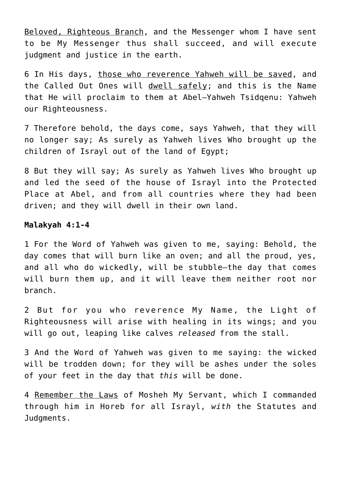Beloved, Righteous Branch, and the Messenger whom I have sent to be My Messenger thus shall succeed, and will execute judgment and justice in the earth.

6 In His days, those who reverence Yahweh will be saved, and the Called Out Ones will dwell safely; and this is the Name that He will proclaim to them at Abel–Yahweh Tsidqenu: Yahweh our Righteousness.

7 Therefore behold, the days come, says Yahweh, that they will no longer say; As surely as Yahweh lives Who brought up the children of Israyl out of the land of Egypt;

8 But they will say; As surely as Yahweh lives Who brought up and led the seed of the house of Israyl into the Protected Place at Abel, and from all countries where they had been driven; and they will dwell in their own land.

# **Malakyah 4:1-4**

1 For the Word of Yahweh was given to me, saying: Behold, the day comes that will burn like an oven; and all the proud, yes, and all who do wickedly, will be stubble—the day that comes will burn them up, and it will leave them neither root nor branch.

2 But for you who reverence My Name, the Light of Righteousness will arise with healing in its wings; and you will go out, leaping like calves *released* from the stall.

3 And the Word of Yahweh was given to me saying: the wicked will be trodden down; for they will be ashes under the soles of your feet in the day that *this* will be done.

4 Remember the Laws of Mosheh My Servant, which I commanded through him in Horeb for all Israyl, *with* the Statutes and Judgments.